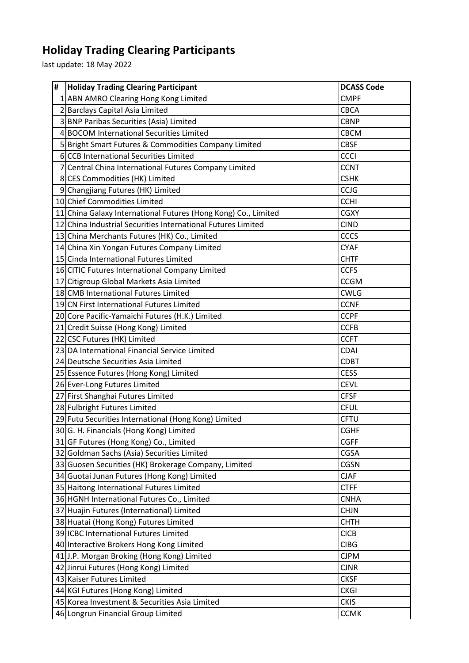## **Holiday Trading Clearing Participants**

last update: 18 May 2022

| <b>Holiday Trading Clearing Participant</b><br>#                                                    | <b>DCASS Code</b>          |
|-----------------------------------------------------------------------------------------------------|----------------------------|
| 1 ABN AMRO Clearing Hong Kong Limited                                                               | <b>CMPF</b>                |
| 2 Barclays Capital Asia Limited                                                                     | <b>CBCA</b>                |
| 3 BNP Paribas Securities (Asia) Limited                                                             | <b>CBNP</b>                |
| 4 BOCOM International Securities Limited                                                            | <b>CBCM</b>                |
| 5 Bright Smart Futures & Commodities Company Limited                                                | <b>CBSF</b>                |
| 6 CCB International Securities Limited                                                              | <b>CCCI</b>                |
| 7 Central China International Futures Company Limited                                               | <b>CCNT</b>                |
| 8 CES Commodities (HK) Limited                                                                      | <b>CSHK</b>                |
| 9 Changjiang Futures (HK) Limited                                                                   | CCJG                       |
| 10 Chief Commodities Limited                                                                        | <b>CCHI</b>                |
| 11 China Galaxy International Futures (Hong Kong) Co., Limited                                      | <b>CGXY</b>                |
| 12 China Industrial Securities International Futures Limited                                        | <b>CIND</b>                |
| 13 China Merchants Futures (HK) Co., Limited                                                        | CCCS                       |
| 14 China Xin Yongan Futures Company Limited                                                         | <b>CYAF</b>                |
| 15 Cinda International Futures Limited                                                              | <b>CHTF</b>                |
| 16 CITIC Futures International Company Limited                                                      | <b>CCFS</b>                |
| 17 Citigroup Global Markets Asia Limited                                                            | <b>CCGM</b>                |
| 18 CMB International Futures Limited                                                                | <b>CWLG</b>                |
| 19 CN First International Futures Limited                                                           | <b>CCNF</b>                |
| 20 Core Pacific-Yamaichi Futures (H.K.) Limited                                                     | <b>CCPF</b>                |
| 21 Credit Suisse (Hong Kong) Limited                                                                | <b>CCFB</b>                |
| 22 CSC Futures (HK) Limited                                                                         | <b>CCFT</b>                |
| 23 DA International Financial Service Limited                                                       | CDAI                       |
| 24 Deutsche Securities Asia Limited                                                                 | <b>CDBT</b>                |
| 25 Essence Futures (Hong Kong) Limited                                                              | <b>CESS</b>                |
| 26 Ever-Long Futures Limited                                                                        | <b>CEVL</b>                |
| 27 First Shanghai Futures Limited                                                                   | <b>CFSF</b>                |
| 28 Fulbright Futures Limited                                                                        | <b>CFUL</b>                |
| 29 Futu Securities International (Hong Kong) Limited                                                | CFTU                       |
| 30 G. H. Financials (Hong Kong) Limited                                                             | <b>CGHF</b>                |
| 31 GF Futures (Hong Kong) Co., Limited                                                              | <b>CGFF</b>                |
| 32 Goldman Sachs (Asia) Securities Limited                                                          | CGSA                       |
| 33 Guosen Securities (HK) Brokerage Company, Limited<br>34 Guotai Junan Futures (Hong Kong) Limited | <b>CGSN</b><br><b>CJAF</b> |
| 35 Haitong International Futures Limited                                                            | <b>CTFF</b>                |
| 36 HGNH International Futures Co., Limited                                                          | <b>CNHA</b>                |
| 37 Huajin Futures (International) Limited                                                           | <b>CHJN</b>                |
| 38 Huatai (Hong Kong) Futures Limited                                                               | <b>CHTH</b>                |
| 39 ICBC International Futures Limited                                                               | <b>CICB</b>                |
| 40 Interactive Brokers Hong Kong Limited                                                            | <b>CIBG</b>                |
| 41 J.P. Morgan Broking (Hong Kong) Limited                                                          | <b>CJPM</b>                |
| 42 Jinrui Futures (Hong Kong) Limited                                                               | <b>CJNR</b>                |
| 43 Kaiser Futures Limited                                                                           | <b>CKSF</b>                |
| 44 KGI Futures (Hong Kong) Limited                                                                  | <b>CKGI</b>                |
| 45 Korea Investment & Securities Asia Limited                                                       | <b>CKIS</b>                |
| 46 Longrun Financial Group Limited                                                                  | <b>CCMK</b>                |